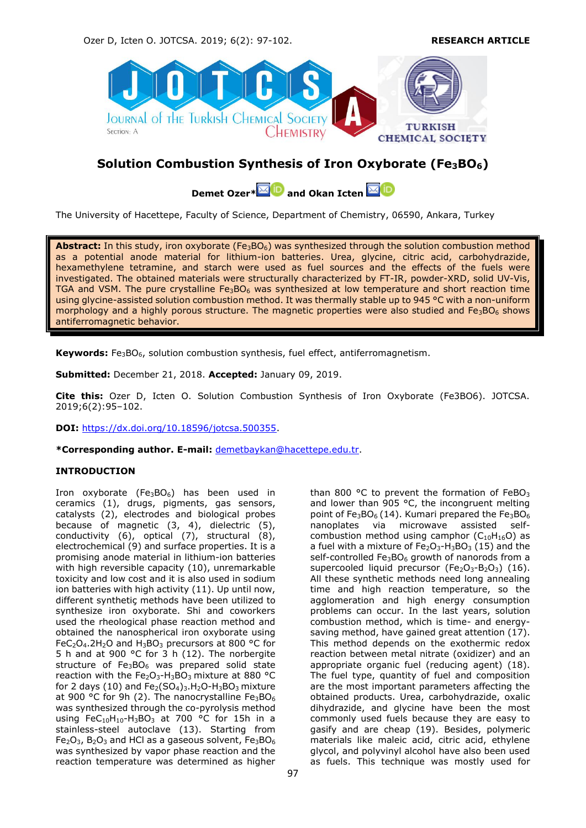

# **Solution Combustion Synthesis of Iron Oxyborate (Fe3BO6)**

**Demet Ozer**\* **MD** and Okan Icten **MD** 

The University of Hacettepe, Faculty of Science, Department of Chemistry, 06590, Ankara, Turkey

Abstract: In this study, iron oxyborate (Fe<sub>3</sub>BO<sub>6</sub>) was synthesized through the solution combustion method as a potential anode material for lithium-ion batteries. Urea, glycine, citric acid, carbohydrazide, hexamethylene tetramine, and starch were used as fuel sources and the effects of the fuels were investigated. The obtained materials were structurally characterized by FT-IR, powder-XRD, solid UV-Vis, TGA and VSM. The pure crystalline  $Fe<sub>3</sub>BO<sub>6</sub>$  was synthesized at low temperature and short reaction time using glycine-assisted solution combustion method. It was thermally stable up to 945 °C with a non-uniform morphology and a highly porous structure. The magnetic properties were also studied and  $Fe<sub>3</sub>BO<sub>6</sub>$  shows antiferromagnetic behavior.

**Keywords:** Fe3BO6, solution combustion synthesis, fuel effect, antiferromagnetism.

**Submitted:** December 21, 2018. **Accepted:** January 09, 2019.

**Cite this:** Ozer D, Icten O. Solution Combustion Synthesis of Iron Oxyborate (Fe3BO6). JOTCSA. 2019;6(2):95–102.

**DOI:** [https://dx.doi.org/10.18596/jotcsa.500355.](https://dx.doi.org/10.18596/jotcsa.500355)

**\*Corresponding author. E-mail:** [demetbaykan@hacettepe.edu.tr.](mailto:demetbaykan@hacettepe.edu.tr)

# **INTRODUCTION**

Iron oxyborate (Fe<sub>3</sub>BO<sub>6</sub>) has been used in ceramics (1), drugs, pigments, gas sensors, catalysts (2), electrodes and biological probes because of magnetic (3, 4), dielectric (5), conductivity (6), optical (7), structural (8), electrochemical (9) and surface properties. It is a promising anode material in lithium-ion batteries with high reversible capacity (10), unremarkable toxicity and low cost and it is also used in sodium ion batteries with high activity (11). Up until now, different synthetiç methods have been utilized to synthesize iron oxyborate. Shi and coworkers used the rheological phase reaction method and obtained the nanospherical iron oxyborate using FeC<sub>2</sub>O<sub>4</sub>.2H<sub>2</sub>O and H<sub>3</sub>BO<sub>3</sub> precursors at 800 °C for 5 h and at 900 °C for 3 h (12). The norbergite structure of  $Fe<sub>3</sub>BO<sub>6</sub>$  was prepared solid state reaction with the  $Fe<sub>2</sub>O<sub>3</sub>$ -H<sub>3</sub>BO<sub>3</sub> mixture at 880 °C for 2 days (10) and  $Fe<sub>2</sub>(SO<sub>4</sub>)<sub>3</sub>$ .H<sub>2</sub>O-H<sub>3</sub>BO<sub>3</sub> mixture at 900 °C for 9h (2). The nanocrystalline  $Fe<sub>3</sub>BO<sub>6</sub>$ was synthesized through the co-pyrolysis method using FeC<sub>10</sub>H<sub>10</sub>-H<sub>3</sub>BO<sub>3</sub> at 700 °C for 15h in a stainless-steel autoclave (13). Starting from  $Fe<sub>2</sub>O<sub>3</sub>$ ,  $B<sub>2</sub>O<sub>3</sub>$  and HCl as a gaseous solvent,  $Fe<sub>3</sub>BO<sub>6</sub>$ was synthesized by vapor phase reaction and the reaction temperature was determined as higher

than 800  $\degree$ C to prevent the formation of FeBO<sub>3</sub> and lower than 905 °C, the incongruent melting point of Fe<sub>3</sub>BO<sub>6</sub> (14). Kumari prepared the Fe<sub>3</sub>BO<sub>6</sub> nanoplates via microwave assisted selfcombustion method using camphor  $(C_{10}H_{16}O)$  as a fuel with a mixture of  $Fe<sub>2</sub>O<sub>3</sub>-H<sub>3</sub>BO<sub>3</sub>$  (15) and the self-controlled  $Fe<sub>3</sub>BO<sub>6</sub>$  growth of nanorods from a supercooled liquid precursor ( $Fe<sub>2</sub>O<sub>3</sub>$ -B<sub>2</sub>O<sub>3</sub>) (16). All these synthetic methods need long annealing time and high reaction temperature, so the agglomeration and high energy consumption problems can occur. In the last years, solution combustion method, which is time- and energysaving method, have gained great attention (17). This method depends on the exothermic redox reaction between metal nitrate (oxidizer) and an appropriate organic fuel (reducing agent) (18). The fuel type, quantity of fuel and composition are the most important parameters affecting the obtained products. Urea, carbohydrazide, oxalic dihydrazide, and glycine have been the most commonly used fuels because they are easy to gasify and are cheap (19). Besides, polymeric materials like maleic acid, citric acid, ethylene glycol, and polyvinyl alcohol have also been used as fuels. This technique was mostly used for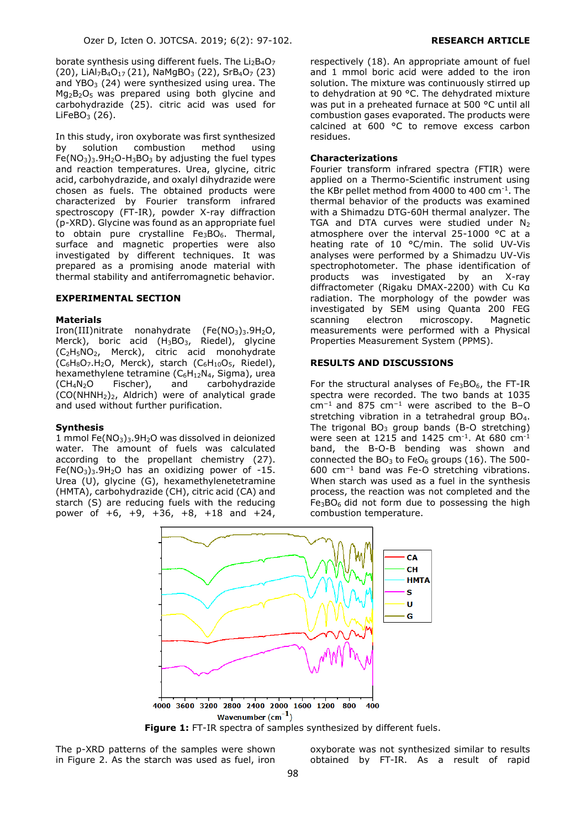borate synthesis using different fuels. The  $Li<sub>2</sub>B<sub>4</sub>O<sub>7</sub>$ (20), LiAl<sub>7</sub>B<sub>4</sub>O<sub>17</sub> (21), NaMgBO<sub>3</sub> (22), SrB<sub>4</sub>O<sub>7</sub> (23) and  $YBO<sub>3</sub>$  (24) were synthesized using urea. The  $Mq_2B_2O_5$  was prepared using both glycine and carbohydrazide (25). citric acid was used for LiFeBO $_3$  (26).

In this study, iron oxyborate was first synthesized by solution combustion method using  $Fe(NO<sub>3</sub>)<sub>3</sub>.9H<sub>2</sub>O-H<sub>3</sub>BO<sub>3</sub>$  by adjusting the fuel types and reaction temperatures. Urea, glycine, citric acid, carbohydrazide, and oxalyl dihydrazide were chosen as fuels. The obtained products were characterized by Fourier transform infrared spectroscopy (FT-IR), powder X-ray diffraction (p-XRD). Glycine was found as an appropriate fuel to obtain pure crystalline Fe<sub>3</sub>BO<sub>6</sub>. Thermal, surface and magnetic properties were also investigated by different techniques. It was prepared as a promising anode material with thermal stability and antiferromagnetic behavior.

## **EXPERIMENTAL SECTION**

#### **Materials**

Iron(III)nitrate nonahydrate  $(Fe(NO<sub>3</sub>)<sub>3</sub>.9H<sub>2</sub>O,$ Merck), boric acid  $(H_3BO_3,$  Riedel), glycine (C2H5NO2, Merck), citric acid monohydrate  $(C_6H_8O_7.H_2O$ , Merck), starch  $(C_6H_{10}O_5$ , Riedel), hexamethylene tetramine  $(C_6H_{12}N_4,$  Sigma), urea  $(CH<sub>4</sub>N<sub>2</sub>O$  Fischer), and carbohydrazide  $(CO(NHNH<sub>2</sub>)<sub>2</sub>$ , Aldrich) were of analytical grade and used without further purification.

#### **Synthesis**

1 mmol Fe $(NO<sub>3</sub>)<sub>3</sub>$ .9H<sub>2</sub>O was dissolved in deionized water. The amount of fuels was calculated according to the propellant chemistry (27).  $Fe(NO<sub>3</sub>)<sub>3</sub>$ .9H<sub>2</sub>O has an oxidizing power of -15. Urea (U), glycine (G), hexamethylenetetramine (HMTA), carbohydrazide (CH), citric acid (CA) and starch (S) are reducing fuels with the reducing power of +6, +9, +36, +8, +18 and +24,

respectively (18). An appropriate amount of fuel and 1 mmol boric acid were added to the iron solution. The mixture was continuously stirred up to dehydration at 90 °C. The dehydrated mixture was put in a preheated furnace at 500 °C until all combustion gases evaporated. The products were calcined at 600 °C to remove excess carbon residues.

### **Characterizations**

Fourier transform infrared spectra (FTIR) were applied on a Thermo-Scientific instrument using the KBr pellet method from 4000 to 400 cm-1 . The thermal behavior of the products was examined with a Shimadzu DTG-60H thermal analyzer. The TGA and DTA curves were studied under  $N_2$ atmosphere over the interval 25-1000 °C at a heating rate of 10 °C/min. The solid UV-Vis analyses were performed by a Shimadzu UV-Vis spectrophotometer. The phase identification of products was investigated by an X-ray diffractometer (Rigaku DMAX-2200) with Cu Kα radiation. The morphology of the powder was investigated by SEM using Quanta 200 FEG scanning electron microscopy. Magnetic measurements were performed with a Physical Properties Measurement System (PPMS).

# **RESULTS AND DISCUSSIONS**

For the structural analyses of  $Fe<sub>3</sub>BO<sub>6</sub>$ , the FT-IR spectra were recorded. The two bands at 1035 cm<sup>−</sup><sup>1</sup>and 875 cm<sup>−</sup><sup>1</sup> were ascribed to the B–O stretching vibration in a tetrahedral group BO<sub>4</sub>. The trigonal  $BO_3$  group bands (B-O stretching) were seen at 1215 and 1425 cm<sup>-1</sup>. At 680 cm<sup>-1</sup> band, the B-O-B bending was shown and connected the  $BO<sub>3</sub>$  to Fe $O<sub>6</sub>$  groups (16). The 500-600 cm<sup>−</sup><sup>1</sup> band was Fe-O stretching vibrations. When starch was used as a fuel in the synthesis process, the reaction was not completed and the  $Fe<sub>3</sub>BO<sub>6</sub>$  did not form due to possessing the high combustion temperature.



Figure 1: FT-IR spectra of samples synthesized by different fuels.

The p-XRD patterns of the samples were shown in Figure 2. As the starch was used as fuel, iron

oxyborate was not synthesized similar to results obtained by FT-IR. As a result of rapid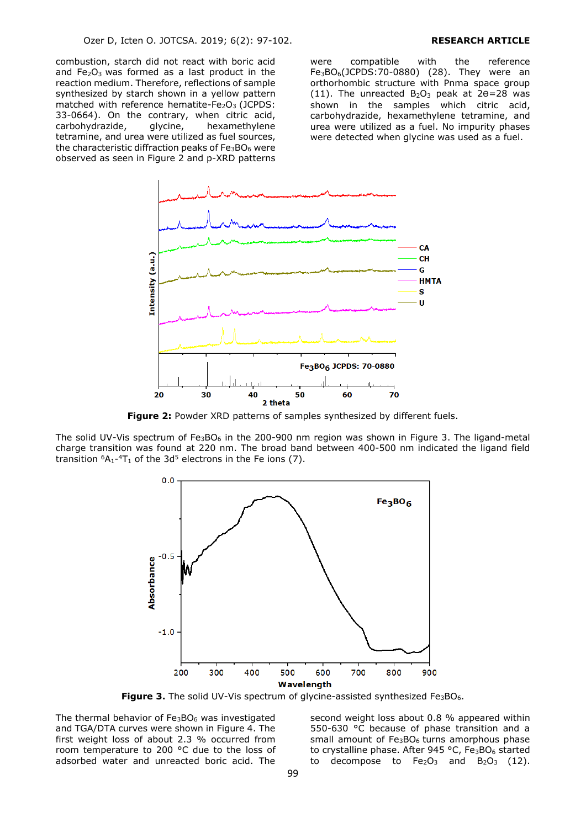combustion, starch did not react with boric acid and  $Fe<sub>2</sub>O<sub>3</sub>$  was formed as a last product in the reaction medium. Therefore, reflections of sample synthesized by starch shown in a yellow pattern matched with reference hematite- $Fe<sub>2</sub>O<sub>3</sub>$  (JCPDS: 33-0664). On the contrary, when citric acid, carbohydrazide, glycine, hexamethylene tetramine, and urea were utilized as fuel sources, the characteristic diffraction peaks of  $Fe<sub>3</sub>BO<sub>6</sub>$  were observed as seen in Figure 2 and p-XRD patterns were compatible with the reference  $Fe<sub>3</sub>BO<sub>6</sub>(JCPDS:70-0880)$  (28). They were an orthorhombic structure with Pnma space group (11). The unreacted  $B_2O_3$  peak at  $2\theta = 28$  was shown in the samples which citric acid, carbohydrazide, hexamethylene tetramine, and urea were utilized as a fuel. No impurity phases were detected when glycine was used as a fuel.



**Figure 2:** Powder XRD patterns of samples synthesized by different fuels.

The solid UV-Vis spectrum of  $Fe<sub>3</sub>BO<sub>6</sub>$  in the 200-900 nm region was shown in Figure 3. The ligand-metal charge transition was found at 220 nm. The broad band between 400-500 nm indicated the ligand field transition  ${}^{6}A_{1}$ -4T<sub>1</sub> of the 3d<sup>5</sup> electrons in the Fe ions (7).



**Figure 3.** The solid UV-Vis spectrum of glycine-assisted synthesized Fe<sub>3</sub>BO<sub>6</sub>.

The thermal behavior of Fe3BO<sup>6</sup> was investigated and TGA/DTA curves were shown in Figure 4. The first weight loss of about 2.3 % occurred from room temperature to 200 °C due to the loss of adsorbed water and unreacted boric acid. The

second weight loss about 0.8 % appeared within 550-630 °C because of phase transition and a small amount of  $Fe<sub>3</sub>BO<sub>6</sub>$  turns amorphous phase to crystalline phase. After 945 °C,  $Fe<sub>3</sub>BO<sub>6</sub>$  started to decompose to  $Fe<sub>2</sub>O<sub>3</sub>$  and  $B<sub>2</sub>O<sub>3</sub>$  (12).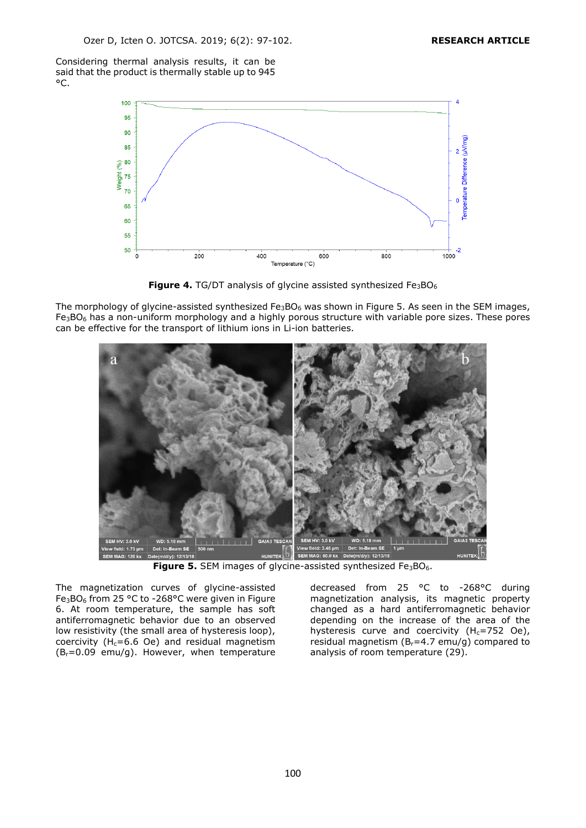Considering thermal analysis results, it can be said that the product is thermally stable up to 945 °C.



**Figure 4.** TG/DT analysis of glycine assisted synthesized Fe<sub>3</sub>BO<sub>6</sub>

The morphology of glycine-assisted synthesized  $Fe_3BO_6$  was shown in Figure 5. As seen in the SEM images, Fe<sub>3</sub>BO<sub>6</sub> has a non-uniform morphology and a highly porous structure with variable pore sizes. These pores can be effective for the transport of lithium ions in Li-ion batteries.



**Figure 5.** SEM images of glycine-assisted synthesized Fe<sub>3</sub>BO<sub>6</sub>.

The magnetization curves of glycine-assisted Fe3BO<sup>6</sup> from 25 °C to -268°C were given in Figure 6. At room temperature, the sample has soft antiferromagnetic behavior due to an observed low resistivity (the small area of hysteresis loop), coercivity ( $H_c=6.6$  Oe) and residual magnetism  $(B_r=0.09$  emu/g). However, when temperature decreased from 25 °C to -268°C during magnetization analysis, its magnetic property changed as a hard antiferromagnetic behavior depending on the increase of the area of the hysteresis curve and coercivity  $(H<sub>c</sub>=752$  Oe), residual magnetism ( $B<sub>r</sub>=4.7$  emu/g) compared to analysis of room temperature (29).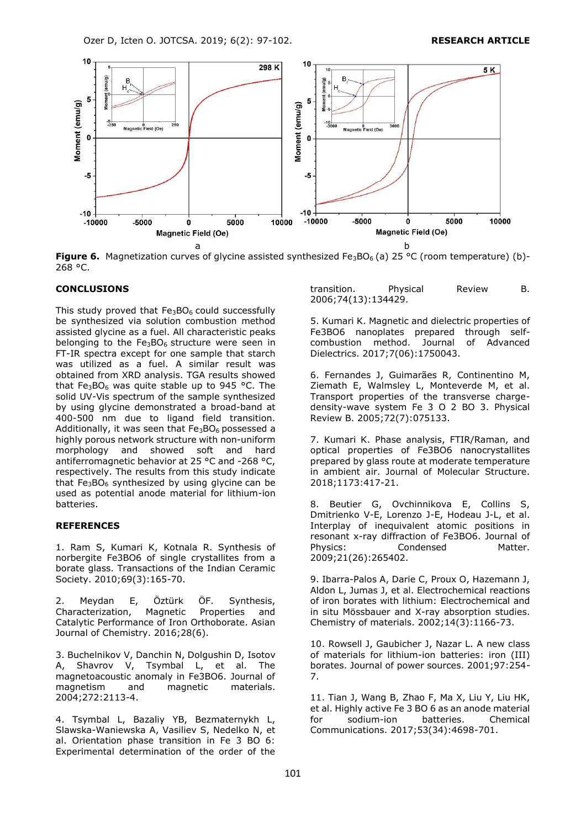Ozer D, Icten O. JOTCSA. 2019; 6(2): 97-102. **RESEARCH ARTICLE**



**Figure 6.** Magnetization curves of glycine assisted synthesized Fe<sub>3</sub>BO<sub>6</sub> (a) 25 °C (room temperature) (b)-268 °C.

# **CONCLUSIONS**

This study proved that  $Fe<sub>3</sub>BO<sub>6</sub>$  could successfully be synthesized via solution combustion method assisted glycine as a fuel. All characteristic peaks belonging to the  $Fe<sub>3</sub>BO<sub>6</sub>$  structure were seen in FT-IR spectra except for one sample that starch was utilized as a fuel. A similar result was obtained from XRD analysis. TGA results showed that Fe<sub>3</sub>BO<sub>6</sub> was quite stable up to 945 °C. The solid UV-Vis spectrum of the sample synthesized by using glycine demonstrated a broad-band at 400-500 nm due to ligand field transition. Additionally, it was seen that  $Fe<sub>3</sub>BO<sub>6</sub>$  possessed a highly porous network structure with non-uniform morphology and showed soft and hard antiferromagnetic behavior at 25 °C and -268 °C, respectively. The results from this study indicate that  $Fe<sub>3</sub>BO<sub>6</sub>$  synthesized by using glycine can be used as potential anode material for lithium-ion batteries.

# **REFERENCES**

1. Ram S, Kumari K, Kotnala R. Synthesis of norbergite Fe3BO6 of single crystallites from a borate glass. Transactions of the Indian Ceramic Society. 2010;69(3):165-70.

2. Meydan E, Öztürk ÖF. Synthesis,<br>Characterization, Magnetic Properties and Characterization, Magnetic Properties and Catalytic Performance of Iron Orthoborate. Asian Journal of Chemistry. 2016;28(6).

3. Buchelnikov V, Danchin N, Dolgushin D, Isotov A, Shavrov V, Tsymbal L, et al. The magnetoacoustic anomaly in Fe3BO6. Journal of magnetism and magnetic materials. 2004;272:2113-4.

4. Tsymbal L, Bazaliy YB, Bezmaternykh L, Slawska-Waniewska A, Vasiliev S, Nedelko N, et al. Orientation phase transition in Fe 3 BO 6: Experimental determination of the order of the

transition. Physical Review B. 2006;74(13):134429.

5. Kumari K. Magnetic and dielectric properties of Fe3BO6 nanoplates prepared through selfcombustion method. Journal of Advanced Dielectrics. 2017;7(06):1750043.

6. Fernandes J, Guimarães R, Continentino M, Ziemath E, Walmsley L, Monteverde M, et al. Transport properties of the transverse chargedensity-wave system Fe 3 O 2 BO 3. Physical Review B. 2005;72(7):075133.

7. Kumari K. Phase analysis, FTIR/Raman, and optical properties of Fe3BO6 nanocrystallites prepared by glass route at moderate temperature in ambient air. Journal of Molecular Structure. 2018;1173:417-21.

8. Beutier G, Ovchinnikova E, Collins S, Dmitrienko V-E, Lorenzo J-E, Hodeau J-L, et al. Interplay of inequivalent atomic positions in resonant x-ray diffraction of Fe3BO6. Journal of Physics: Condensed Matter. 2009;21(26):265402.

9. Ibarra-Palos A, Darie C, Proux O, Hazemann J, Aldon L, Jumas J, et al. Electrochemical reactions of iron borates with lithium: Electrochemical and in situ Mössbauer and X-ray absorption studies. Chemistry of materials. 2002;14(3):1166-73.

10. Rowsell J, Gaubicher J, Nazar L. A new class of materials for lithium-ion batteries: iron (III) borates. Journal of power sources. 2001;97:254- 7.

11. Tian J, Wang B, Zhao F, Ma X, Liu Y, Liu HK, et al. Highly active Fe 3 BO 6 as an anode material for sodium-ion batteries. Chemical Communications. 2017;53(34):4698-701.